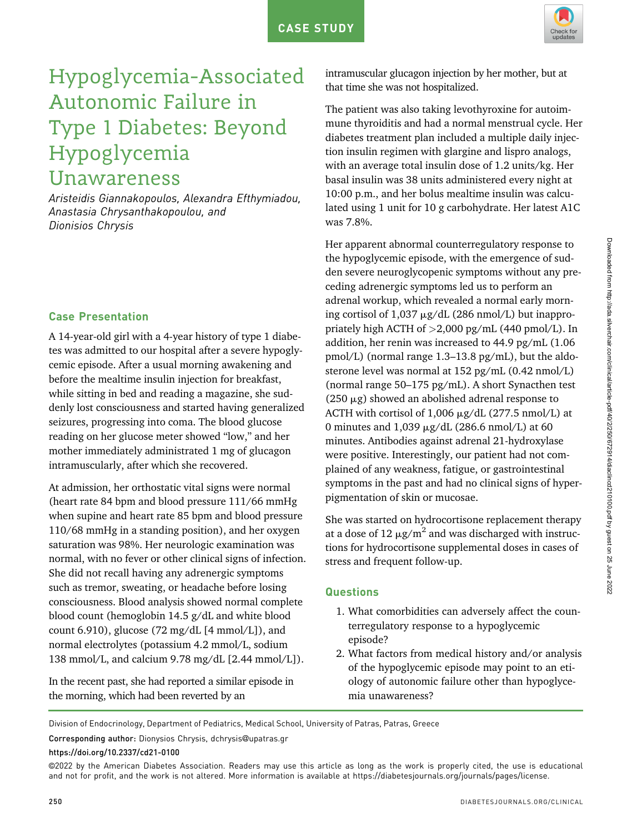

# Hypoglycemia-Associated Autonomic Failure in Type 1 Diabetes: Beyond Hypoglycemia Unawareness

Aristeidis Giannakopoulos, Alexandra Efthymiadou, Anastasia Chrysanthakopoulou, and Dionisios Chrysis

## Case Presentation

A 14-year-old girl with a 4-year history of type 1 diabetes was admitted to our hospital after a severe hypoglycemic episode. After a usual morning awakening and before the mealtime insulin injection for breakfast, while sitting in bed and reading a magazine, she suddenly lost consciousness and started having generalized seizures, progressing into coma. The blood glucose reading on her glucose meter showed "low," and her mother immediately administrated 1 mg of glucagon intramuscularly, after which she recovered.

At admission, her orthostatic vital signs were normal (heart rate 84 bpm and blood pressure 111/66 mmHg when supine and heart rate 85 bpm and blood pressure 110/68 mmHg in a standing position), and her oxygen saturation was 98%. Her neurologic examination was normal, with no fever or other clinical signs of infection. She did not recall having any adrenergic symptoms such as tremor, sweating, or headache before losing consciousness. Blood analysis showed normal complete blood count (hemoglobin 14.5 g/dL and white blood count 6.910), glucose  $(72 \text{ mg/dL} [4 \text{ mmol/L}])$ , and normal electrolytes (potassium 4.2 mmol/L, sodium 138 mmol/L, and calcium 9.78 mg/dL [2.44 mmol/L]).

In the recent past, she had reported a similar episode in the morning, which had been reverted by an

intramuscular glucagon injection by her mother, but at that time she was not hospitalized.

The patient was also taking levothyroxine for autoimmune thyroiditis and had a normal menstrual cycle. Her diabetes treatment plan included a multiple daily injection insulin regimen with glargine and lispro analogs, with an average total insulin dose of 1.2 units/kg. Her basal insulin was 38 units administered every night at 10:00 p.m., and her bolus mealtime insulin was calculated using 1 unit for 10 g carbohydrate. Her latest A1C was 7.8%.

Her apparent abnormal counterregulatory response to the hypoglycemic episode, with the emergence of sudden severe neuroglycopenic symptoms without any preceding adrenergic symptoms led us to perform an adrenal workup, which revealed a normal early morning cortisol of  $1,037 \mu g/dL$  (286 nmol/L) but inappropriately high ACTH of >2,000 pg/mL (440 pmol/L). In addition, her renin was increased to 44.9 pg/mL (1.06 pmol/L) (normal range 1.3–13.8 pg/mL), but the aldosterone level was normal at 152 pg/mL (0.42 nmol/L) (normal range 50–175 pg/mL). A short Synacthen test (250  $\mu$ g) showed an abolished adrenal response to ACTH with cortisol of  $1,006 \mu g/dL$  (277.5 nmol/L) at 0 minutes and 1,039  $\mu$ g/dL (286.6 nmol/L) at 60 minutes. Antibodies against adrenal 21-hydroxylase were positive. Interestingly, our patient had not complained of any weakness, fatigue, or gastrointestinal symptoms in the past and had no clinical signs of hyperpigmentation of skin or mucosae.

She was started on hydrocortisone replacement therapy at a dose of 12  $\mu$ g/m<sup>2</sup> and was discharged with instructions for hydrocortisone supplemental doses in cases of stress and frequent follow-up.

## **Questions**

- 1. What comorbidities can adversely affect the counterregulatory response to a hypoglycemic episode?
- 2. What factors from medical history and/or analysis of the hypoglycemic episode may point to an etiology of autonomic failure other than hypoglycemia unawareness?

Division of Endocrinology, Department of Pediatrics, Medical School, University of Patras, Patras, Greece

Corresponding author: Dionysios Chrysis, dchrysis@[upatras.gr](mailto:dchrysis@upatras.gr)

https://doi.org/10.2337/cd21-0100

©2022 by the American Diabetes Association. Readers may use this article as long as the work is properly cited, the use is educational and not for profit, and the work is not altered. More information is available at [https://diabetesjournals.org/journals/pages/license.](https://diabetesjournals.org/journals/pages/license)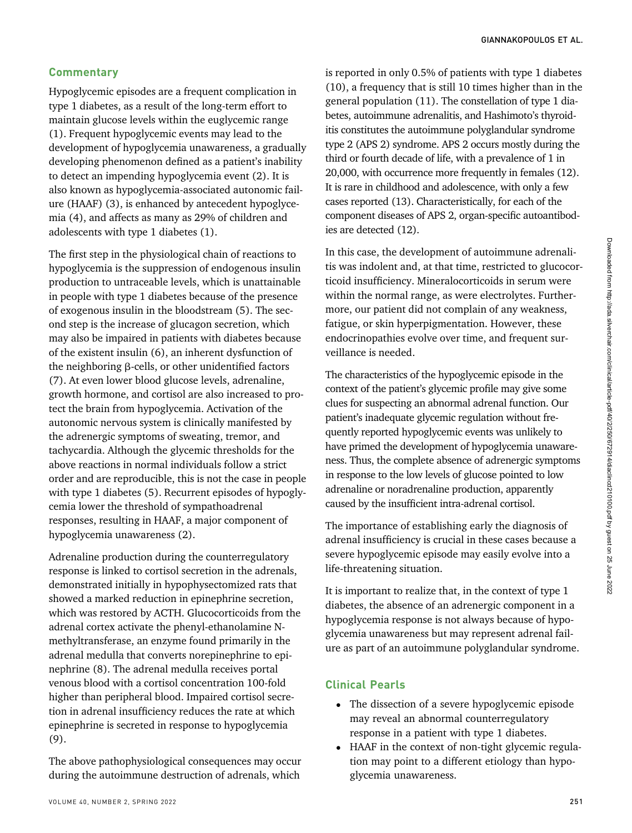# **Commentary**

Hypoglycemic episodes are a frequent complication in type 1 diabetes, as a result of the long-term effort to maintain glucose levels within the euglycemic range (1). Frequent hypoglycemic events may lead to the development of hypoglycemia unawareness, a gradually developing phenomenon defined as a patient's inability to detect an impending hypoglycemia event (2). It is also known as hypoglycemia-associated autonomic failure (HAAF) (3), is enhanced by antecedent hypoglycemia (4), and affects as many as 29% of children and adolescents with type 1 diabetes (1).

The first step in the physiological chain of reactions to hypoglycemia is the suppression of endogenous insulin production to untraceable levels, which is unattainable in people with type 1 diabetes because of the presence of exogenous insulin in the bloodstream (5). The second step is the increase of glucagon secretion, which may also be impaired in patients with diabetes because of the existent insulin (6), an inherent dysfunction of the neighboring β-cells, or other unidentified factors (7). At even lower blood glucose levels, adrenaline, growth hormone, and cortisol are also increased to protect the brain from hypoglycemia. Activation of the autonomic nervous system is clinically manifested by the adrenergic symptoms of sweating, tremor, and tachycardia. Although the glycemic thresholds for the above reactions in normal individuals follow a strict order and are reproducible, this is not the case in people with type 1 diabetes (5). Recurrent episodes of hypoglycemia lower the threshold of sympathoadrenal responses, resulting in HAAF, a major component of hypoglycemia unawareness (2).

Adrenaline production during the counterregulatory response is linked to cortisol secretion in the adrenals, demonstrated initially in hypophysectomized rats that showed a marked reduction in epinephrine secretion, which was restored by ACTH. Glucocorticoids from the adrenal cortex activate the phenyl-ethanolamine Nmethyltransferase, an enzyme found primarily in the adrenal medulla that converts norepinephrine to epinephrine (8). The adrenal medulla receives portal venous blood with a cortisol concentration 100-fold higher than peripheral blood. Impaired cortisol secretion in adrenal insufficiency reduces the rate at which epinephrine is secreted in response to hypoglycemia (9).

The above pathophysiological consequences may occur during the autoimmune destruction of adrenals, which

is reported in only 0.5% of patients with type 1 diabetes (10), a frequency that is still 10 times higher than in the general population (11). The constellation of type 1 diabetes, autoimmune adrenalitis, and Hashimoto's thyroiditis constitutes the autoimmune polyglandular syndrome type 2 (APS 2) syndrome. APS 2 occurs mostly during the third or fourth decade of life, with a prevalence of 1 in 20,000, with occurrence more frequently in females (12). It is rare in childhood and adolescence, with only a few cases reported (13). Characteristically, for each of the component diseases of APS 2, organ-specific autoantibodies are detected (12).

In this case, the development of autoimmune adrenalitis was indolent and, at that time, restricted to glucocorticoid insufficiency. Mineralocorticoids in serum were within the normal range, as were electrolytes. Furthermore, our patient did not complain of any weakness, fatigue, or skin hyperpigmentation. However, these endocrinopathies evolve over time, and frequent surveillance is needed.

The characteristics of the hypoglycemic episode in the context of the patient's glycemic profile may give some clues for suspecting an abnormal adrenal function. Our patient's inadequate glycemic regulation without frequently reported hypoglycemic events was unlikely to have primed the development of hypoglycemia unawareness. Thus, the complete absence of adrenergic symptoms in response to the low levels of glucose pointed to low adrenaline or noradrenaline production, apparently caused by the insufficient intra-adrenal cortisol.

The importance of establishing early the diagnosis of adrenal insufficiency is crucial in these cases because a severe hypoglycemic episode may easily evolve into a life-threatening situation.

It is important to realize that, in the context of type 1 diabetes, the absence of an adrenergic component in a hypoglycemia response is not always because of hypoglycemia unawareness but may represent adrenal failure as part of an autoimmune polyglandular syndrome.

## Clinical Pearls

- The dissection of a severe hypoglycemic episode may reveal an abnormal counterregulatory response in a patient with type 1 diabetes.
- HAAF in the context of non-tight glycemic regulation may point to a different etiology than hypoglycemia unawareness.